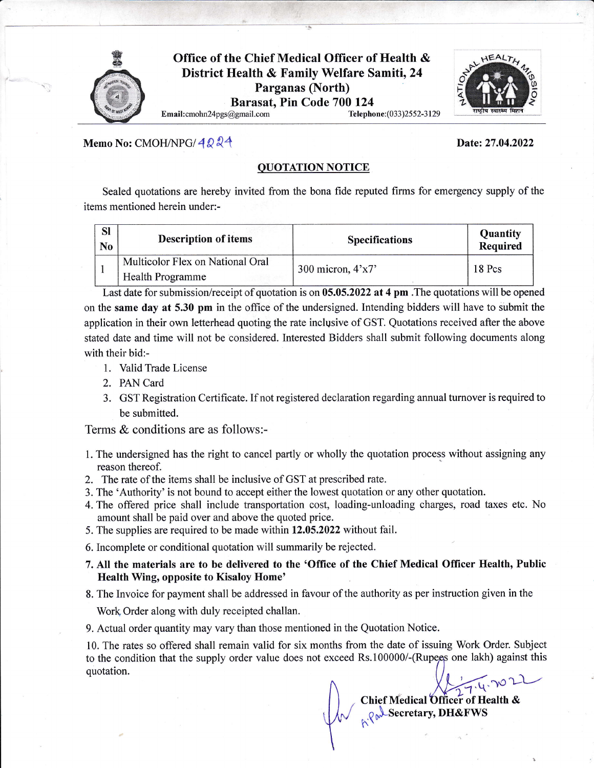

Office of the Chief Medical Officer of Health & District Health & Family Welfare Samiti, 24 Parganas (North) **Barasat, Pin Code 700 124**<br> **General Replace:**(033)2552-3129 Email:cmohn24pgs@gmail.com



## Memo No: CMOH/NPG/ $4\sqrt{2}$   $\sqrt[3]{4}$

## QUOTATION NOTICE

Sealed quotations are hereby invited from the bona fide reputed firms for emergency supply of the items mentioned herein under:-

| <b>SI</b><br>N <sub>0</sub> | <b>Description of items</b>                                 | <b>Specifications</b> | <b>Quantity</b><br>Required |
|-----------------------------|-------------------------------------------------------------|-----------------------|-----------------------------|
|                             | Multicolor Flex on National Oral<br><b>Health Programme</b> | 300 micron, $4'x7'$   | 18 Pcs                      |

Last date for submission/receipt of quotation is on 05.05.2022 at 4 pm .The quotations will be opened on the same day at 5.30 pm in the office of the undersigned. Intending bidders will have to submit the application in their own letterhead quoting the rate inclusive of GST. Quotations received after the above stated date and time will not be considered. Interested Bidders shall submit following documents along with their bid:-

- 1. Valid Trade License
- 2. PAN Card
- 3. GST Registration Certificate. If not registered declaration regarding annual tumover is required to be submitted.

Terms & conditions are as follows:-

- 1. The undersigned has the right to cancel partly or wholly the quotation process without assigning any reason thereof.
- 2. The rate of the items shall be inclusive of GST at prescribed rate.
- 3. The 'Authority' is not bound to accept either the lowest quotation or any other quotation.
- 4. The offered price shall include transportation cost, loading-unloading charges, road taxes etc. No amount shall be paid over and above the quoted price.
- 5. The supplies are required to be made within 12.05.2022 without fail.

6. Incomplete or conditional quotation will summarily be rejected.

7. All the materials are to be delivered to the 'Office of the Chief Medical Officer Health, Public Health Wing, opposite to Kisaloy Home'

8. The Invoice for payment shall be addressed in favour of the authority as per instruction given in the

Work Order along with duly receipted challan.

9. Actual order quantity may vary than those mentioned in the Quotation Notice.

10. The rates so offered shall remain valid for six months from the date of issuing Work Order. Subject to the condition that the supply order value does not exceed Rs.100000/-(Rupees one lakh) against this quotation.  $7.4.7022$ 

Chief Medical Officer of Health &  $A^*$ DH&FWS